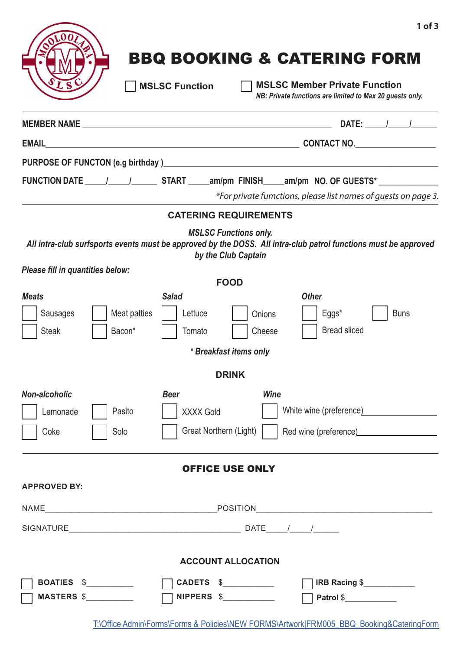# BBQ BOOKING & CATERING FORM

*NB: Private functions are limited to Max 20 guests only.* **MSLSC Function MSLSC Member Private Function**

|                                                                    | DATE: $\frac{1}{2}$                                                                                                                                                                                                                   |
|--------------------------------------------------------------------|---------------------------------------------------------------------------------------------------------------------------------------------------------------------------------------------------------------------------------------|
|                                                                    |                                                                                                                                                                                                                                       |
|                                                                    |                                                                                                                                                                                                                                       |
|                                                                    | FUNCTION DATE 1 1 1 START ______ am/pm FINISH ______ am/pm NO. OF GUESTS*<br>*For private fumctions, please list names of guests on page 3.                                                                                           |
|                                                                    | <b>CATERING REQUIREMENTS</b>                                                                                                                                                                                                          |
|                                                                    | <b>MSLSC Functions only.</b><br>All intra-club surfsports events must be approved by the DOSS. All intra-club patrol functions must be approved<br>by the Club Captain                                                                |
| Please fill in quantities below:                                   | <b>FOOD</b>                                                                                                                                                                                                                           |
| <b>Meats</b><br>Sausages<br>Meat patties<br>Bacon*<br><b>Steak</b> | <b>Salad</b><br><b>Other</b><br>Eggs*<br>Lettuce<br><b>Buns</b><br>Onions<br><b>Bread sliced</b><br>Tomato<br>Cheese<br>* Breakfast items only                                                                                        |
|                                                                    | <b>DRINK</b>                                                                                                                                                                                                                          |
| Non-alcoholic<br>Lemonade<br>Pasito<br>Solo<br>Coke                | <b>Wine</b><br><b>Beer</b><br>White wine (preference) Minimum and Minimum and Minimum and Minimum and Minimum and Minimum and Minimum and Mi<br><b>XXXX Gold</b><br>Great Northern (Light)<br>Red wine (preference) <b>Example 20</b> |
|                                                                    | <b>OFFICE USE ONLY</b>                                                                                                                                                                                                                |
| <b>APPROVED BY:</b>                                                |                                                                                                                                                                                                                                       |
|                                                                    |                                                                                                                                                                                                                                       |
|                                                                    |                                                                                                                                                                                                                                       |
|                                                                    | <b>ACCOUNT ALLOCATION</b>                                                                                                                                                                                                             |
| BOATIES \$<br><b>MASTERS \$</b>                                    | CADETS \$<br>IRB Racing \$<br><b>NIPPERS \$___________</b><br>Patrol \$                                                                                                                                                               |

T:\Office Admin\Forms\Forms & Policies\NEW FORMS\Artwork|FRM005\_BBQ\_Booking&CateringForm

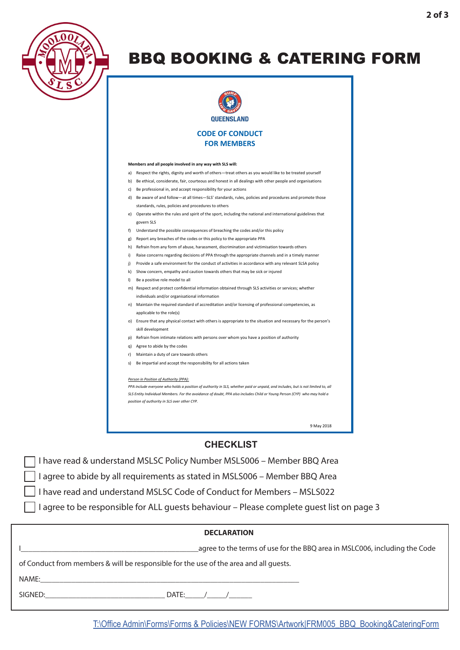

## BBQ BOOKING & CATERING FORM



#### **Members and all people involved in any way with SLS will:**

- a) Respect the rights, dignity and worth of others—treat others as you would like to be treated yourself
- b) Be ethical, considerate, fair, courteous and honest in all dealings with other people and organisations
- c) Be professional in, and accept responsibility for your actions
- d) Be aware of and follow—at all times—SLS' standards, rules, policies and procedures and promote those standards, rules, policies and procedures to others
- e) Operate within the rules and spirit of the sport, including the national and international guidelines that govern SLS
- f) Understand the possible consequences of breaching the codes and/or this policy
- g) Report any breaches of the codes or this policy to the appropriate PPA
- h) Refrain from any form of abuse, harassment, discrimination and victimisation towards others
- i) Raise concerns regarding decisions of PPA through the appropriate channels and in a timely manner
- j) Provide a safe environment for the conduct of activities in accordance with any relevant SLSA policy
- k) Show concern, empathy and caution towards others that may be sick or injured
- l) Be a positive role model to all
- m) Respect and protect confidential information obtained through SLS activities or services; whether individuals and/or organisational information
- n) Maintain the required standard of accreditation and/or licensing of professional competencies, as applicable to the role(s)
- o) Ensure that any physical contact with others is appropriate to the situation and necessary for the person's skill development
- p) Refrain from intimate relations with persons over whom you have a position of authority
- q) Agree to abide by the codes
- r) Maintain a duty of care towards others
- s) Be impartial and accept the responsibility for all actions taken

#### *Person in Position of Authority (PPA):*

*PPA include everyone who holds a position of authority in SLS, whether paid or unpaid, and includes, but is not limited to, all SLS Entity Individual Members. For the avoidance of doubt, PPA also includes Child or Young Person (CYP) who may hold a position of authority in SLS over other CYP.*

9 May 2018

### **CHECKLIST**

I have read & understand MSLSC Policy Number MSLS006 – Member BBQ Area

I agree to abide by all requirements as stated in MSLS006 – Member BBQ Area

I have read and understand MSLSC Code of Conduct for Members – MSLS022

I agree to be responsible for ALL guests behaviour – Please complete guest list on page 3

| <b>DECLARATION</b>                                                                    |                                                                           |  |
|---------------------------------------------------------------------------------------|---------------------------------------------------------------------------|--|
|                                                                                       | agree to the terms of use for the BBQ area in MSLC006, including the Code |  |
| of Conduct from members & will be responsible for the use of the area and all guests. |                                                                           |  |
| NAME:                                                                                 |                                                                           |  |
| SIGNED:                                                                               | DATE: $/$ /                                                               |  |